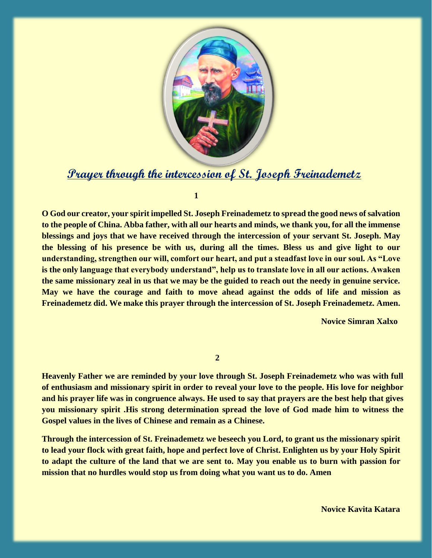

## **Prayer through the intercession of St. Joseph Freinademetz**

**1**

**O God our creator, your spirit impelled St. Joseph Freinademetz to spread the good news of salvation to the people of China. Abba father, with all our hearts and minds, we thank you, for all the immense blessings and joys that we have received through the intercession of your servant St. Joseph. May the blessing of his presence be with us, during all the times. Bless us and give light to our understanding, strengthen our will, comfort our heart, and put a steadfast love in our soul. As "Love is the only language that everybody understand", help us to translate love in all our actions. Awaken the same missionary zeal in us that we may be the guided to reach out the needy in genuine service. May we have the courage and faith to move ahead against the odds of life and mission as Freinademetz did. We make this prayer through the intercession of St. Joseph Freinademetz. Amen.**

 **Novice Simran Xalxo**

**2**

**Heavenly Father we are reminded by your love through St. Joseph Freinademetz who was with full of enthusiasm and missionary spirit in order to reveal your love to the people. His love for neighbor and his prayer life was in congruence always. He used to say that prayers are the best help that gives you missionary spirit .His strong determination spread the love of God made him to witness the Gospel values in the lives of Chinese and remain as a Chinese.**

**Through the intercession of St. Freinademetz we beseech you Lord, to grant us the missionary spirit to lead your flock with great faith, hope and perfect love of Christ. Enlighten us by your Holy Spirit to adapt the culture of the land that we are sent to. May you enable us to burn with passion for mission that no hurdles would stop us from doing what you want us to do. Amen**

 **Novice Kavita Katara**